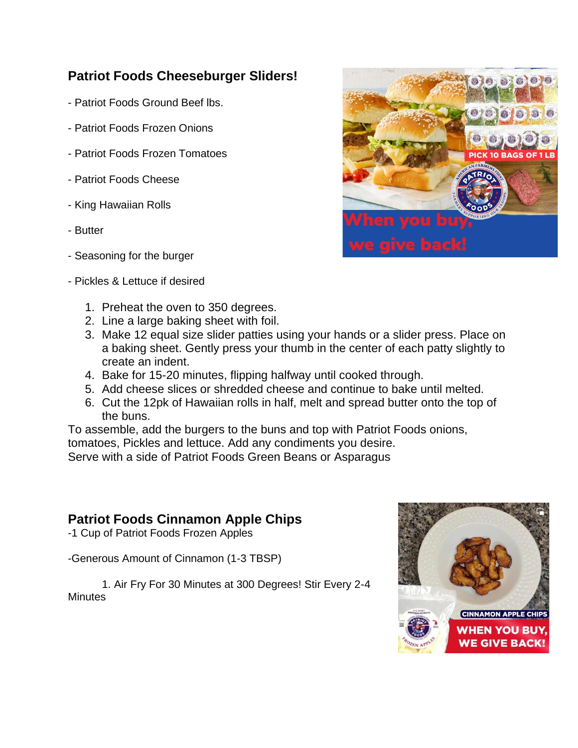### **Patriot Foods Cheeseburger Sliders!**

- Patriot Foods Ground Beef lbs.
- Patriot Foods Frozen Onions
- Patriot Foods Frozen Tomatoes
- Patriot Foods Cheese
- King Hawaiian Rolls
- Butter
- Seasoning for the burger
- Pickles & Lettuce if desired
	- 1. Preheat the oven to 350 degrees.
	- 2. Line a large baking sheet with foil.
	- 3. Make 12 equal size slider patties using your hands or a slider press. Place on a baking sheet. Gently press your thumb in the center of each patty slightly to create an indent.
	- 4. Bake for 15-20 minutes, flipping halfway until cooked through.
	- 5. Add cheese slices or shredded cheese and continue to bake until melted.
	- 6. Cut the 12pk of Hawaiian rolls in half, melt and spread butter onto the top of the buns.

To assemble, add the burgers to the buns and top with Patriot Foods onions, tomatoes, Pickles and lettuce. Add any condiments you desire.

Serve with a side of Patriot Foods Green Beans or Asparagus

### **Patriot Foods Cinnamon Apple Chips**

-1 Cup of Patriot Foods Frozen Apples

-Generous Amount of Cinnamon (1-3 TBSP)

1. Air Fry For 30 Minutes at 300 Degrees! Stir Every 2-4 **Minutes** 



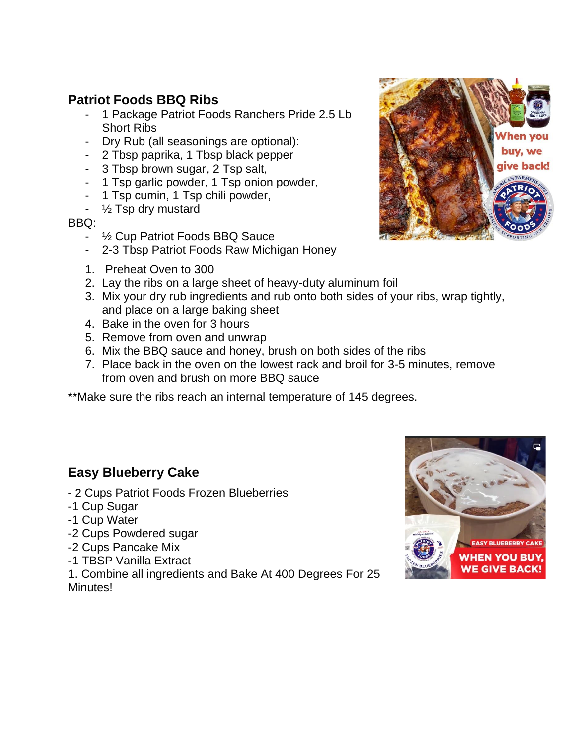## **Patriot Foods BBQ Ribs**

- 1 Package Patriot Foods Ranchers Pride 2.5 Lb Short Ribs
- Dry Rub (all seasonings are optional):
- 2 Tbsp paprika, 1 Tbsp black pepper
- 3 Tbsp brown sugar, 2 Tsp salt,
- 1 Tsp garlic powder, 1 Tsp onion powder,
- 1 Tsp cumin, 1 Tsp chili powder,
- ½ Tsp dry mustard

#### BBQ:

- ½ Cup Patriot Foods BBQ Sauce
- 2-3 Tbsp Patriot Foods Raw Michigan Honey
- 1. Preheat Oven to 300
- 2. Lay the ribs on a large sheet of heavy-duty aluminum foil
- 3. Mix your dry rub ingredients and rub onto both sides of your ribs, wrap tightly, and place on a large baking sheet
- 4. Bake in the oven for 3 hours
- 5. Remove from oven and unwrap
- 6. Mix the BBQ sauce and honey, brush on both sides of the ribs
- 7. Place back in the oven on the lowest rack and broil for 3-5 minutes, remove from oven and brush on more BBQ sauce

\*\*Make sure the ribs reach an internal temperature of 145 degrees.

### **Easy Blueberry Cake**

- 2 Cups Patriot Foods Frozen Blueberries
- -1 Cup Sugar
- -1 Cup Water
- -2 Cups Powdered sugar
- -2 Cups Pancake Mix
- -1 TBSP Vanilla Extract

1. Combine all ingredients and Bake At 400 Degrees For 25 Minutes!



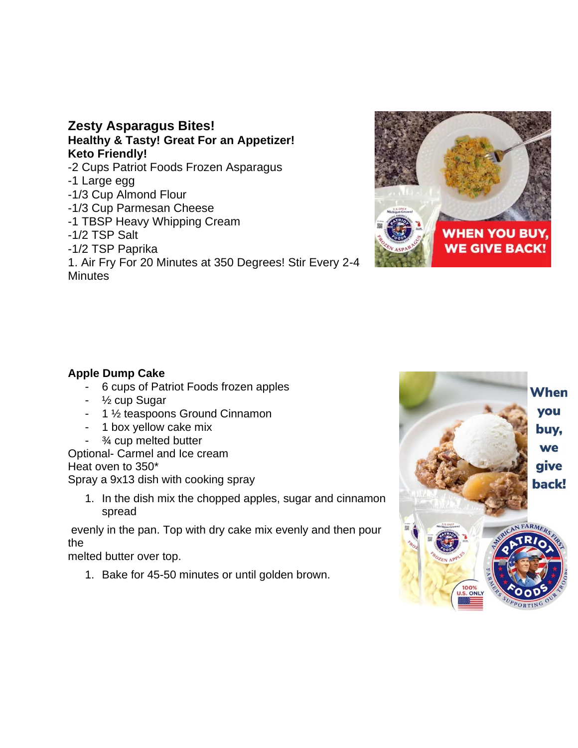#### **Zesty Asparagus Bites! Healthy & Tasty! Great For an Appetizer! Keto Friendly!** -2 Cups Patriot Foods Frozen Asparagus -1 Large egg -1/3 Cup Almond Flour -1/3 Cup Parmesan Cheese -1 TBSP Heavy Whipping Cream -1/2 TSP Salt -1/2 TSP Paprika

1. Air Fry For 20 Minutes at 350 Degrees! Stir Every 2-4 **Minutes** 



#### **Apple Dump Cake**

- 6 cups of Patriot Foods frozen apples
- ½ cup Sugar
- 1 ½ teaspoons Ground Cinnamon
- 1 box yellow cake mix
- ¾ cup melted butter

Optional- Carmel and Ice cream Heat oven to 350\* Spray a 9x13 dish with cooking spray

1. In the dish mix the chopped apples, sugar and cinnamon spread

evenly in the pan. Top with dry cake mix evenly and then pour the

melted butter over top.

1. Bake for 45-50 minutes or until golden brown.